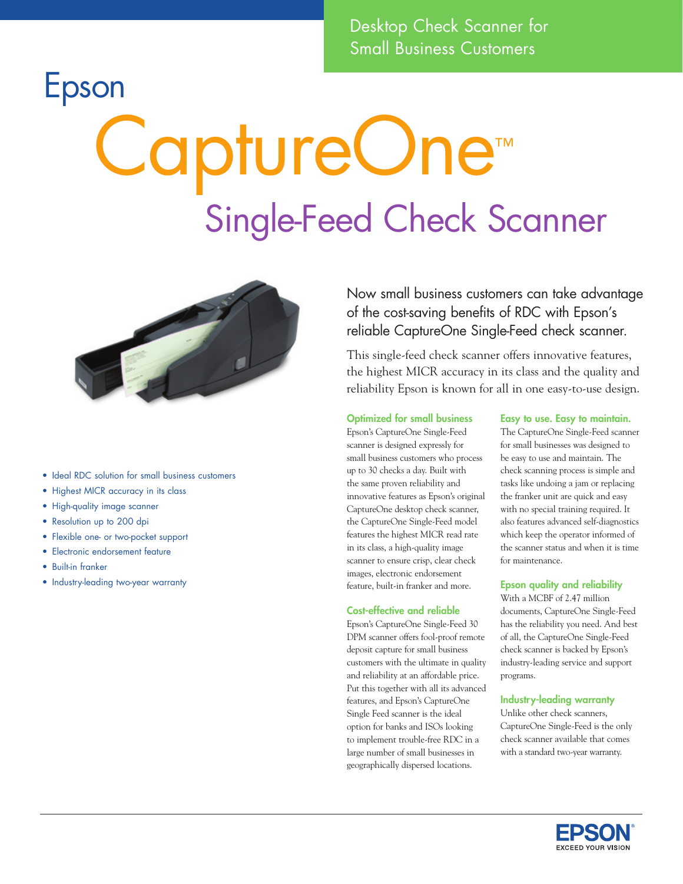Desktop Check Scanner for Small Business Customers

### Epson

# CaptureOne™ Single-Feed Check Scanner



- Ideal RDC solution for small business customers
- Highest MICR accuracy in its class
- High-quality image scanner
- Resolution up to 200 dpi
- Flexible one- or two-pocket support
- Electronic endorsement feature
- Built-in franker
- Industry-leading two-year warranty

Now small business customers can take advantage of the cost-saving benefits of RDC with Epson's reliable CaptureOne Single-Feed check scanner.

This single-feed check scanner offers innovative features, the highest MICR accuracy in its class and the quality and reliability Epson is known for all in one easy-to-use design.

#### Optimized for small business

Epson's CaptureOne Single-Feed scanner is designed expressly for small business customers who process up to 30 checks a day. Built with the same proven reliability and innovative features as Epson's original CaptureOne desktop check scanner, the CaptureOne Single-Feed model features the highest MICR read rate in its class, a high-quality image scanner to ensure crisp, clear check images, electronic endorsement feature, built-in franker and more.

#### Cost-effective and reliable

Epson's CaptureOne Single-Feed 30 DPM scanner offers fool-proof remote deposit capture for small business customers with the ultimate in quality and reliability at an affordable price. Put this together with all its advanced features, and Epson's CaptureOne Single Feed scanner is the ideal option for banks and ISOs looking to implement trouble-free RDC in a large number of small businesses in geographically dispersed locations.

#### Easy to use. Easy to maintain.

The CaptureOne Single-Feed scanner for small businesses was designed to be easy to use and maintain. The check scanning process is simple and tasks like undoing a jam or replacing the franker unit are quick and easy with no special training required. It also features advanced self-diagnostics which keep the operator informed of the scanner status and when it is time for maintenance.

#### Epson quality and reliability

With a MCBF of 2.47 million documents, CaptureOne Single-Feed has the reliability you need. And best of all, the CaptureOne Single-Feed check scanner is backed by Epson's industry-leading service and support programs.

#### Industry-leading warranty

Unlike other check scanners, CaptureOne Single-Feed is the only check scanner available that comes with a standard two-year warranty.